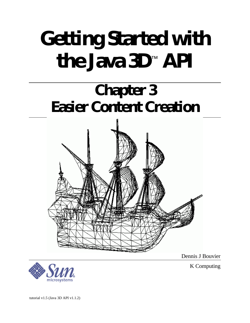# **Getting Started with the Java 3D**™  **API**

# **Chapter 3 Easier Content Creation**



Dennis J Bouvier



K Computing

tutorial v1.5 (Java 3D API v1.1.2)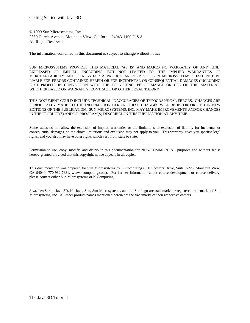© 1999 Sun Microsystems, Inc. 2550 Garcia Avenue, Mountain View, California 94043-1100 U.S.A All Rights Reserved.

The information contained in this document is subject to change without notice.

SUN MICROSYSTEMS PROVIDES THIS MATERIAL "AS IS" AND MAKES NO WARRANTY OF ANY KIND, EXPRESSED OR IMPLIED, INCLUDING, BUT NOT LIMITED TO, THE IMPLIED WARRANTIES OF MERCHANTABILITY AND FITNESS FOR A PARTICULAR PURPOSE. SUN MICROSYSTEMS SHALL NOT BE LIABLE FOR ERRORS CONTAINED HEREIN OR FOR INCIDENTAL OR CONSEQUENTIAL DAMAGES (INCLUDING LOST PROFITS IN CONNECTION WITH THE FURNISHING, PERFORMANCE OR USE OF THIS MATERIAL, WHETHER BASED ON WARRANTY, CONTRACT, OR OTHER LEGAL THEORY).

THIS DOCUMENT COULD INCLUDE TECHNICAL INACCURACIES OR TYPOGRAPHICAL ERRORS. CHANGES ARE PERIODICALLY MADE TO THE INFORMATION HEREIN; THESE CHANGES WILL BE INCORPORATED IN NEW EDITIONS OF THE PUBLICATION. SUN MICROSYSTEMS, INC. MAY MAKE IMPROVEMENTS AND/OR CHANGES IN THE PRODUCT(S) AND/OR PROGRAM(S) DESCRIBED IN THIS PUBLICATION AT ANY TIME.

Some states do not allow the exclusion of implied warranties or the limitations or exclusion of liability for incidental or consequential damages, so the above limitations and exclusion may not apply to you. This warranty gives you specific legal rights, and you also may have other rights which vary from state to state.

Permission to use, copy, modify, and distribute this documentation for NON-COMMERCIAL purposes and without fee is hereby granted provided that this copyright notice appears in all copies.

This documentation was prepared for Sun Microsystems by K Computing (530 Showers Drive, Suite 7-225, Mountain View, CA 94040, 770-982-7881, www.kcomputing.com). For further information about course development or course delivery, please contact either Sun Microsystems or K Computing.

Java, JavaScript, Java 3D, HotJava, Sun, Sun Microsystems, and the Sun logo are trademarks or registered trademarks of Sun Microsystems, Inc. All other product names mentioned herein are the trademarks of their respective owners.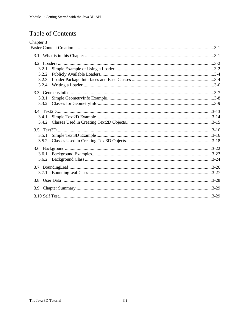# **Table of Contents**

| Chapter 3 |  |
|-----------|--|
|           |  |
|           |  |
|           |  |
| 3.2.1     |  |
| 3.2.2     |  |
| 3.2.3     |  |
| 3.2.4     |  |
|           |  |
| 3.3.1     |  |
| 3.3.2     |  |
|           |  |
| 3.4.1     |  |
| 3.4.2     |  |
|           |  |
| 3.5.1     |  |
| 3.5.2     |  |
|           |  |
| 3.6.1     |  |
| 3.6.2     |  |
|           |  |
|           |  |
|           |  |
| 3.9       |  |
|           |  |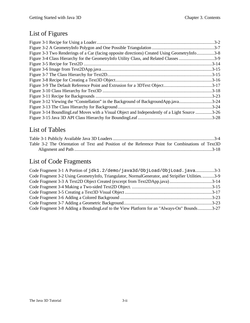# List of Figures

| Figure 3-3 Two Renderings of a Car (facing opposite directions) Created Using GeometryInfo3-8 |           |
|-----------------------------------------------------------------------------------------------|-----------|
| Figure 3-4 Class Hierarchy for the GeometryInfo Utility Class, and Related Classes 3-9        |           |
|                                                                                               |           |
|                                                                                               |           |
|                                                                                               |           |
|                                                                                               |           |
|                                                                                               |           |
|                                                                                               |           |
|                                                                                               | $.3 - 23$ |
| Figure 3-12 Viewing the "Constellation" in the Background of BackgroundApp.java3-24           |           |
|                                                                                               | $.3 - 24$ |
| Figure 3-14 Boundling Leaf Moves with a Visual Object and Independently of a Light Source     | .3-26     |
|                                                                                               |           |

# List of Tables

| Table 3-2 The Orientation of Text and Position of the Reference Point for Combinations of Text3D |  |  |  |  |  |
|--------------------------------------------------------------------------------------------------|--|--|--|--|--|
|                                                                                                  |  |  |  |  |  |

# List of Code Fragments

| Code Fragment 3-1 A Portion of jdk1.2/demo/java3d/0bjLoad/0bjLoad.java3-3                        |  |
|--------------------------------------------------------------------------------------------------|--|
| Code Fragment 3-2 Using GeometryInfo, Triangulator, NormalGenerator, and Stripifier Utilities3-9 |  |
| Code Fragment 3-3 A Text2D Object Created (excerpt from Text2DApp.java)3-14                      |  |
|                                                                                                  |  |
|                                                                                                  |  |
|                                                                                                  |  |
|                                                                                                  |  |
| Code Fragment 3-8 Adding a Bounding Leaf to the View Platform for an "Always-On" Bounds3-27      |  |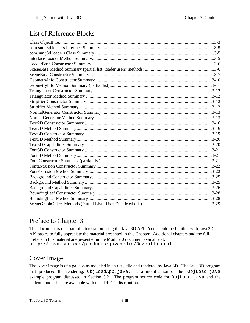## List of Reference Blocks

## Preface to Chapter 3

This document is one part of a tutorial on using the Java 3D API. You should be familiar with Java 3D API basics to fully appreciate the material presented in this Chapter. Additional chapters and the full preface to this material are presented in the Module 0 document available at: http://java.sun.com/products/javamedia/3d/collateral

## Cover Image

The cover image is of a galleon as modeled in an obj file and rendered by Java 3D. The Java 3D program that produced the rendering, ObjLoadApp.java, is a modification of the ObjLoad.java example program discussed in Section 3.2. The program source code for ObjLoad.java and the galleon model file are available with the JDK 1.2 distribution.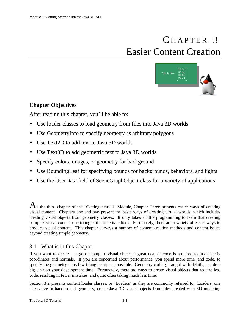# CHAPTER 3 Easier Content Creation



## **Chapter Objectives**

After reading this chapter, you'll be able to:

- Use loader classes to load geometry from files into Java 3D worlds
- Use GeometryInfo to specify geometry as arbitrary polygons
- Use Text2D to add text to Java 3D worlds
- Use Text3D to add geometric text to Java 3D worlds
- Specify colors, images, or geometry for background
- Use BoundingLeaf for specifying bounds for backgrounds, behaviors, and lights
- Use the UserData field of SceneGraphObject class for a variety of applications

 $A<sub>s</sub>$  the third chapter of the "Getting Started" Module, Chapter Three presents easier ways of creating visual content. Chapters one and two present the basic ways of creating virtual worlds, which includes creating visual objects from geometry classes. It only takes a little programming to learn that creating complex visual content one triangle at a time is tedious. Fortunately, there are a variety of easier ways to produce visual content. This chapter surveys a number of content creation methods and content issues beyond creating simple geometry.

## 3.1 What is in this Chapter

If you want to create a large or complex visual object, a great deal of code is required to just specify coordinates and normals. If you are concerned about performance, you spend more time, and code, to specify the geometry in as few triangle strips as possible. Geometry coding, fraught with details, can de a big sink on your development time. Fortunately, there are ways to create visual objects that require less code, resulting in fewer mistakes, and quiet often taking much less time.

Section 3.2 presents content loader classes, or "Loaders" as they are commonly referred to. Loaders, one alternative to hand coded geometry, create Java 3D visual objects from files created with 3D modeling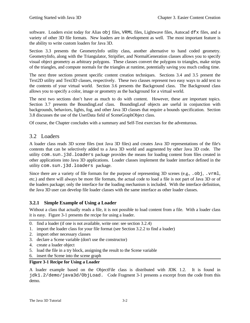software. Loaders exist today for Alias  $\circ$ b files, VRML files, Lightwave files, Autocad dfx files, and a variety of other 3D file formats. New loaders are in development as well. The most important feature is the ability to write custom loaders for Java 3D.

Section 3.3 presents the GeometryInfo utility class, another alternative to hand coded geometry. GeometryInfo, along with the Triangulator, Stripifier, and NormalGeneration classes allows you to specify visual object geometry as arbitrary polygons. These classes convert the polygons to triangles, make strips of the triangles, and compute normals for the triangles at runtime, potentially saving you much coding time.

The next three sections present specific content creation techniques. Sections 3.4 and 3.5 present the Text2D utility and Text3D classes, respectively. These two classes represent two easy ways to add text to the contents of your virtual world. Section 3.6 presents the Background class. The Background class allows you to specify a color, image or geometry as the background for a virtual world.

The next two sections don't have as much to do with content. However, these are important topics. Section 3.7 presents the BoundingLeaf class. BoundingLeaf objects are useful in conjunction with backgrounds, behaviors, lights, fog, and other Java 3D classes that require a bounds specification. Section 3.8 discusses the use of the UserData field of SceneGraphObject class.

Of course, the Chapter concludes with a summary and Self-Test exercises for the adventurous.

## 3.2 Loaders

A loader class reads 3D scene files (not Java 3D files) and creates Java 3D representations of the file's contents that can be selectively added to a Java 3D world and augmented by other Java 3D code. The utility com.sun.j3d.loaders package provides the means for loading content from files created in other applications into Java 3D applications. Loader classes implement the loader interface defined in the utility com.sun.j3d.loaders package.

Since there are a variety of file formats for the purpose of representing 3D scenes (e.g., . $\circ$ b $\dot{\mathsf{p}}$ , . $\mathsf{vrml}$ ), etc.) and there will always be more file formats, the actual code to load a file is not part of Java 3D or of the loaders package; only the interface for the loading mechanism is included. With the interface definition, the Java 3D user can develop file loader classes with the same interface as other loader classes.

## **3.2.1 Simple Example of Using a Loader**

Without a class that actually reads a file, it is not possible to load content from a file. With a loader class it is easy. Figure 3-1 presents the recipe for using a loader.

- 0. find a loader (if one is not available, write one: see section 3.2.4)
- 1. import the loader class for your file format (see Section 3.2.2 to find a loader)
- 2. import other necessary classes
- 3. declare a Scene variable (don't use the constructor)
- 4. create a loader object
- 5. load the file in a try block, assigning the result to the Scene variable
- 6. insert the Scene into the scene graph

## **Figure 3-1 Recipe for Using a Loader**

A loader example based on the ObjectFile class is distributed with JDK 1.2. It is found in jdk1.2/demo/java3d/ObjLoad. Code Fragment 3-1 presents a excerpt from the code from this demo.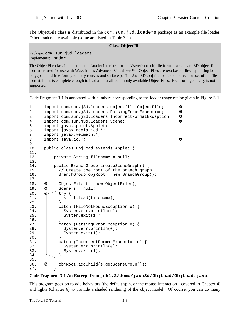The ObjectFile class is distributed in the com.sun.j3d.loaders package as an example file loader. Other loaders are available (some are listed in Table 3-1).

## **Class ObjectFile**

Package: com.sun.j3d.loaders Implements: Loader

The ObjectFile class implements the Loader interface for the Wavefront .obj file format, a standard 3D object file format created for use with Wavefront's Advanced Visualizer ™. Object Files are text based files supporting both polygonal and free-form geometry (curves and surfaces). The Java 3D .obj file loader supports a subset of the file format, but it is complete enough to load almost all commonly available Object Files. Free-form geometry is not supported.

Code Fragment 3-1 is annotated with numbers corresponding to the loader usage recipe given in Figure 3-1.

```
1. import com.sun.j3d.loaders.objectfile.ObjectFile; \bullet2. import com.sun.j3d.loaders.ParsingErrorException; \bullet3. import com.sun.j3d.loaders.IncorrectFormatException; <sup>o</sup>
4. import com.sun.j3d.loaders.Scene;
5. import java.applet.Applet;
6. import javax.media.j3d.*;
7. import javax.vecmath.*;
8. import java.io.*; example and the set of \bullet9.
10. public class ObjLoad extends Applet {
11.1private String filename = null;13.14.14. public BranchGroup createSceneGraph() {
15. // Create the root of the branch graph
16. BranchGroup objRoot = new BranchGroup();
17.
18. \bullet ObjectFile f = new ObjectFile();
19. \bullet Scene s = null;
20. \bullet try {
21. | s = f.load(filename);
22. }
23. catch (FileNotFoundException e) {
24. System.err.println(e);
25. System.exit(1);
\frac{26}{27}.
          catch (ParsingErrorException e) {
28. System.err.println(e);
29. System.exit(1);<br>30. \}30. }
31. catch (IncorrectFormatException e) {
32. System.err.println(e);
33. System.exit(1);
34. }
35.
36. 6 objRoot.addChild(s.getSceneGroup());
37. }
```
## **Code Fragment 3-1 An Excerpt from jdk1.2/demo/java3d/ObjLoad/ObjLoad.java.**

This program goes on to add behaviors (the default spin, or the mouse interaction - covered in Chapter 4) and lights (Chapter 6) to provide a shaded rendering of the object model. Of course, you can do many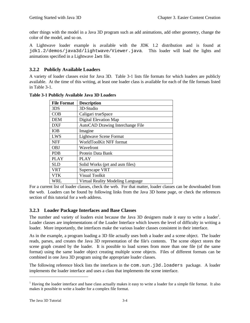other things with the model in a Java 3D program such as add animations, add other geometry, change the color of the model, and so on.

A Lightwave loader example is available with the JDK 1.2 distribution and is found at jdk1.2/demos/java3d/lightwave/Viewer.java. This loader will load the lights and animations specified in a Lightwave lws file.

## **3.2.2 Publicly Available Loaders**

A variety of loader classes exist for Java 3D. Table 3-1 lists file formats for which loaders are publicly available. At the time of this writing, at least one loader class is available for each of the file formats listed in Table 3-1.

| <b>File Format</b> | <b>Description</b>                |
|--------------------|-----------------------------------|
| 3DS                | 3D-Studio                         |
| COB                | Caligari trueSpace                |
| <b>DEM</b>         | Digital Elevation Map             |
| <b>DXF</b>         | AutoCAD Drawing Interchange File  |
| <b>IOB</b>         | Imagine                           |
| LWS                | <b>Lightwave Scene Format</b>     |
| <b>NFF</b>         | WorldToolKit NFF format           |
| <b>OBJ</b>         | Wavefront                         |
| <b>PDB</b>         | Protein Data Bank                 |
| <b>PLAY</b>        | <b>PLAY</b>                       |
| SL D               | Solid Works (prt and asm files)   |
| <b>VRT</b>         | Superscape VRT                    |
| <b>VTK</b>         | Visual Toolkit                    |
| <b>WRL</b>         | Virtual Reality Modeling Language |

**Table 3-1 Publicly Available Java 3D Loaders**

For a current list of loader classes, check the web. For that matter, loader classes can be downloaded from the web. Loaders can be found by following links from the Java 3D home page, or check the references section of this tutorial for a web address.

## **3.2.3 Loader Package Interfaces and Base Classes**

The number and variety of loaders exist because the Java 3D designers made it easy to write a loader<sup>1</sup>. Loader classes are implementations of the Loader Interface which lowers the level of difficulty in writing a loader. More importantly, the interfaces make the various loader classes consistent in their interface.

As in the example, a program loading a 3D file actually uses both a loader and a scene object. The loader reads, parses, and creates the Java 3D representation of the file's contents. The scene object stores the scene graph created by the loader. It is possible to load scenes from more than one file (of the same format) using the same loader object creating multiple scene objects. Files of different formats can be combined in one Java 3D program using the appropriate loader classes.

The following reference block lists the interfaces in the com.sun.j3d.loaders package. A loader implements the loader interface and uses a class that implements the scene interface.

 $\overline{a}$ 

<sup>&</sup>lt;sup>1</sup> Having the loader interface and base class actually makes it easy to write a loader for a simple file format. It also makes it possible to write a loader for a complex file format.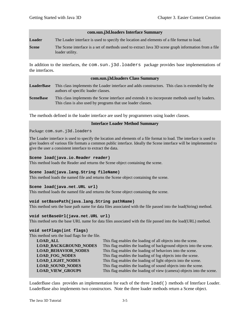#### **com.sun.j3d.loaders Interface Summary**

**Loader** The Loader interface is used to specify the location and elements of a file format to load.

**Scene** The Scene interface is a set of methods used to extract Java 3D scene graph information from a file loader utility.

In addition to the interfaces, the com.sun.j3d.loaders package provides base implementations of the interfaces.

#### **com.sun.j3d.loaders Class Summary**

- **LoaderBase** This class implements the Loader interface and adds constructors. This class is extended by the authors of specific loader classes.
- **SceneBase** This class implements the Scene interface and extends it to incorporate methods used by loaders. This class is also used by programs that use loader classes.

The methods defined in the loader interface are used by programmers using loader classes.

## **Interface Loader Method Summary**

Package: com.sun.j3d.loaders

The Loader interface is used to specify the location and elements of a file format to load. The interface is used to give loaders of various file formats a common public interface. Ideally the Scene interface will be implemented to give the user a consistent interface to extract the data.

#### **Scene load(java.io.Reader reader)**

This method loads the Reader and returns the Scene object containing the scene.

## **Scene load(java.lang.String fileName)**

This method loads the named file and returns the Scene object containing the scene.

#### **Scene load(java.net.URL url)**

This method loads the named file and returns the Scene object containing the scene.

#### **void setBasePath(java.lang.String pathName)**

This method sets the base path name for data files associated with the file passed into the load(String) method.

#### **void setBaseUrl(java.net.URL url)**

This method sets the base URL name for data files associated with the file passed into the load(URL) method.

## **void setFlags(int flags)**

This method sets the load flags for the file.

| <b>LOAD ALL</b>              | This flag enables the loading of all objects into the scene.           |
|------------------------------|------------------------------------------------------------------------|
| <b>LOAD_BACKGROUND_NODES</b> | This flag enables the loading of background objects into the scene.    |
| <b>LOAD_BEHAVIOR_NODES</b>   | This flag enables the loading of behaviors into the scene.             |
| <b>LOAD FOG NODES</b>        | This flag enables the loading of fog objects into the scene.           |
| <b>LOAD_LIGHT_NODES</b>      | This flag enables the loading of light objects into the scene.         |
| <b>LOAD_SOUND_NODES</b>      | This flag enables the loading of sound objects into the scene.         |
| <b>LOAD VIEW GROUPS</b>      | This flag enables the loading of view (camera) objects into the scene. |

LoaderBase class provides an implementation for each of the three load() methods of Interface Loader. LoaderBase also implements two constructors. Note the three loader methods return a Scene object.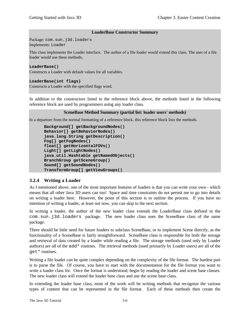## **LoaderBase Constructor Summary**

Package: com.sun.j3d.loaders Implements: Loader

This class implements the Loader interface. The author of a file loader would extend this class. The user of a file loader would use these methods.

## **LoaderBase()**

Constructs a Loader with default values for all variables.

## **LoaderBase(int flags)**

Constructs a Loader with the specified flags word.

In addition to the constructors listed in the reference block above, the methods listed in the following reference block are used by programmers using any loader class.

## **SceneBase Method Summary (partial list: loader users' methods)**

In a departure from the normal formatting of a reference block, this reference block lists the methods.

```
Background[] getBackgroundNodes()
Behavior[] getBehaviorNodes()
java.lang.String getDescription()
Fog[] getFogNodes()
float[] getHorizontalFOVs()
Light[] getLightNodes()
java.util.Hashtable getNamedObjects()
BranchGroup getSceneGroup()
Sound[] getSoundNodes()
TransformGroup[] getViewGroups()
```
## **3.2.4 Writing a Loader**

As I mentioned above, one of the most important features of loaders is that you can write your own - which means that all other Java 3D users can too! Space and time constraints do not permit me to go into details on writing a loader here. However, the point of this section is to outline the process. If you have no intention of writing a loader, at least not now, you can skip to the next section.

In writing a loader, the author of the new loader class extends the LoaderBase class defined in the com.sun.j3d.loaders package. The new loader class uses the SceneBase class of the same package.

There should be little need for future loaders to subclass SceneBase, or to implement Scene directly, as the functionality of a SceneBase is fairly straightforward. SceneBase class is responsible for both the storage and retrieval of data created by a loader while reading a file. The storage methods (used only by Loader authors) are all of the add\* routines. The retrieval methods (used primarily by Loader users) are all of the get\* routines.

Writing a file loader can be quite complex depending on the complexity of the file format. The hardest part is to parse the file. Of course, you have to start with the documentation for the file format you want to write a loader class for. Once the format is understood, begin by reading the loader and scene base classes. The new loader class will extend the loader base class and use the scene base class.

In extending the loader base class, most of the work will be writing methods that recognize the various types of content that can be represented in the file format. Each of these methods then create the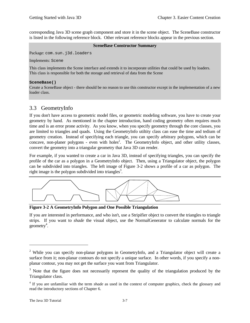corresponding Java 3D scene graph component and store it in the scene object. The SceneBase constructor is listed in the following reference block. Other relevant reference blocks appear in the previous section.

## **SceneBase Constructor Summary**

Package: com.sun.j3d.loaders

Implements: Scene

This class implements the Scene interface and extends it to incorporate utilities that could be used by loaders. This class is responsible for both the storage and retrieval of data from the Scene

## **SceneBase()**

Create a SceneBase object - there should be no reason to use this constructor except in the implementation of a new loader class.

## 3.3 GeometryInfo

If you don't have access to geometric model files, or geometric modeling software, you have to create your geometry by hand. As mentioned in the chapter introduction, hand coding geometry often requires much time and is an error prone activity. As you know, when you specify geometry through the core classes, you are limited to triangles and quads. Using the GeometryInfo utiltity class can ease the time and tedium of geometry creation. Instead of specifying each triangle, you can specify arbitrary polygons, which can be concave, non-planer polygons - even with holes<sup>2</sup>. The GeometryInfo object, and other utility classes, convert the geometry into a triangular geometry that Java 3D can render.

For example, if you wanted to create a car in Java 3D, instead of specifying triangles, you can specify the profile of the car as a polygon in a GeometryInfo object. Then, using a Triangulator object, the polygon can be subdivided into triangles. The left image of Figure 3-2 shows a profile of a car as polygon. The right image is the polygon subdivided into triangles<sup>3</sup>.



**Figure 3-2 A GeometryInfo Polygon and One Possible Triangulation**

If you are interested in performance, and who isn't, use a Stripifier object to convert the triangles to triangle strips. If you want to *shade* the visual object, use the NormalGenerator to calculate normals for the geometry<sup>4</sup>.

<u>.</u>

<sup>&</sup>lt;sup>2</sup> While you can specify non-planar polygons in GeometryInfo, and a Triangulator object will create a surface from it; non-planar contours do not specify a unique surface. In other words, if you specify a nonplanar contour, you may not get the surface you want from Triangulator.

<sup>&</sup>lt;sup>3</sup> Note that the figure does not necessarily represent the quality of the triangulation produced by the Triangulator class.

<sup>&</sup>lt;sup>4</sup> If you are unfamiliar with the term *shade* as used in the context of computer graphics, check the glossary and read the introductory sections of Chapter 6.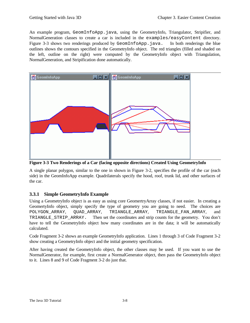An example program, GeomInfoApp.java, using the GeometryInfo, Triangulator, Stripifier, and NormalGeneration classes to create a car is included in the examples/easyContent directory. Figure 3-3 shows two renderings produced by GeomInfoApp.java. In both renderings the blue outlines shows the contours specified in the GeometryInfo object. The red triangles (filled and shaded on the left, outline on the right) were computed by the GeometryInfo object with Triangulation, NormalGeneration, and Stripification done automatically.



**Figure 3-3 Two Renderings of a Car (facing opposite directions) Created Using GeometryInfo**

A single planar polygon, similar to the one in shown in Figure 3-2, specifies the profile of the car (each side) in the GeomInfoApp example. Quadrilaterals specify the hood, roof, trunk lid, and other surfaces of the car.

## **3.3.1 Simple GeometryInfo Example**

Using a GeometryInfo object is as easy as using core GeomertryArray classes, if not easier. In creating a GeomertyInfo object, simply specify the type of geometry you are going to need. The choices are POLYGON\_ARRAY, OUAD\_ARRAY, TRIANGLE\_ARRAY, TRIANGLE\_FAN\_ARRAY, and TRIANGLE\_STRIP\_ARRAY. Then set the coordinates and strip counts for the geometry. You don't have to tell the GeometryInfo object how many coordinates are in the data; it will be automatically calculated.

Code Fragment 3-2 shows an example GeometryInfo application. Lines 1 through 3 of Code Fragment 3-2 show creating a GeometryInfo object and the initial geometry specification.

After having created the GeometryInfo object, the other classes may be used. If you want to use the NormalGenerator, for example, first create a NormalGenerator object, then pass the GeometryInfo object to it. Lines 8 and 9 of Code Fragment 3-2 do just that.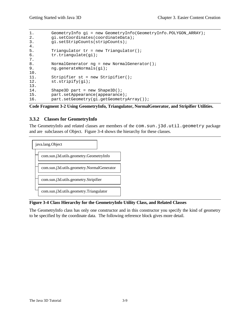```
1. GeometryInfo gi = new GeometryInfo(GeometryInfo.POLYGON ARRAY);
2. gi.setCoordinates(coordinateData);
3. gi.setStripCounts(stripCounts);
4.
5. Triangulator tr = new Triangulator();
6. tr.triangulate(gi);
7.
8. NormalGenerator ng = new NormalGenerator();
9. ng.generateNormals(gi);
10.
11. Stripifier st = new Stripifier();
12. st.stripify(gi);
13.
14. Shape3D part = new Shape3D();
15. part.setAppearance(appearance);<br>16. part.setGeometry(gi.getGeometry
        part.setGeometry(gi.getGeometryArray());
```
**Code Fragment 3-2 Using GeometryInfo, Triangulator, NormalGenerator, and Stripifier Utilities.**

## **3.3.2 Classes for GeometryInfo**

The GeometryInfo and related classes are members of the com.sun.j3d.util.geometry package and are subclasses of Object. Figure 3-4 shows the hierarchy for these classes.



## **Figure 3-4 Class Hierarchy for the GeometryInfo Utility Class, and Related Classes**

The GeometryInfo class has only one constructor and in this constructor you specify the kind of geometry to be specified by the coordinate data. The following reference block gives more detail.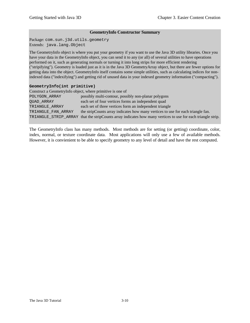## **GeometryInfo Constructor Summary**

Package: com.sun.j3d.utils.geometry Extends: java.lang.Object

The GeometryInfo object is where you put your geometry if you want to use the Java 3D utility libraries. Once you have your data in the GeometryInfo object, you can send it to any (or all) of several utilities to have operations performed on it, such as generating normals or turning it into long strips for more efficient rendering ("stripifying"). Geometry is loaded just as it is in the Java 3D GeometryArray object, but there are fewer options for getting data into the object. GeometryInfo itself contains some simple utilities, such as calculating indices for nonindexed data ("indexifying") and getting rid of unused data in your indexed geometry information ("compacting").

## **GeometryInfo(int primitive)**

| Construct a GeometryInfo object, where primitive is one of |                                                                                                             |
|------------------------------------------------------------|-------------------------------------------------------------------------------------------------------------|
| POLYGON ARRAY                                              | possibly multi-contour, possibly non-planar polygons                                                        |
| OUAD ARRAY                                                 | each set of four vertices forms an independent quad                                                         |
| TRIANGLE ARRAY                                             | each set of three vertices form an independent triangle                                                     |
| TRIANGLE FAN ARRAY                                         | the stripCounts array indicates how many vertices to use for each triangle fan.                             |
|                                                            | TRIANGLE_STRIP_ARRAY that the stripCounts array indicates how many vertices to use for each triangle strip. |

The GeometryInfo class has many methods. Most methods are for setting (or getting) coordinate, color, index, normal, or texture coordinate data. Most applications will only use a few of available methods. However, it is convienient to be able to specify geometry to any level of detail and have the rest computed.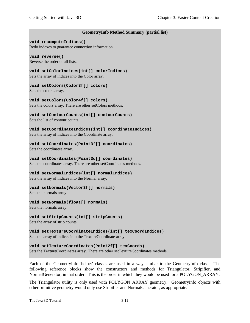## **GeometryInfo Method Summary (partial list)**

#### **void recomputeIndices()**

Redo indexes to guarantee connection information.

## **void reverse()**

Reverse the order of all lists.

## **void setColorIndices(int[] colorIndices)**

Sets the array of indices into the Color array.

## **void setColors(Color3f[] colors)**

Sets the colors array.

**void setColors(Color4f[] colors)** Sets the colors array. There are other setColors methods.

#### **void setContourCounts(int[] contourCounts)** Sets the list of contour counts.

**void setCoordinateIndices(int[] coordinateIndices)**

Sets the array of indices into the Coordinate array.

## **void setCoordinates(Point3f[] coordinates)**

Sets the coordinates array.

## **void setCoordinates(Point3d[] coordinates)**

Sets the coordinates array. There are other setCoordinates methods.

## **void setNormalIndices(int[] normalIndices)**

Sets the array of indices into the Normal array.

## **void setNormals(Vector3f[] normals)**

Sets the normals array.

## **void setNormals(float[] normals)**

Sets the normals array.

## **void setStripCounts(int[] stripCounts)**

Sets the array of strip counts.

## **void setTextureCoordinateIndices(int[] texCoordIndices)** Sets the array of indices into the TextureCoordinate array.

## **void setTextureCoordinates(Point2f[] texCoords)** Sets the TextureCoordinates array. There are other setTextureCoordinates methods.

Each of the GeometryInfo 'helper' classes are used in a way similar to the GeometryInfo class. The following reference blocks show the constructors and methods for Triangulator, Stripifier, and NormalGenerator, in that order. This is the order in which they would be used for a POLYGON\_ARRAY.

The Triangulator utility is only used with POLYGON\_ARRAY geometry. GeometryInfo objects with other primitive geometry would only use Stripifier and NormalGenerator, as appropriate.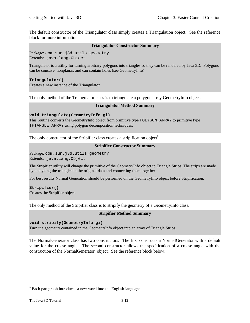The default constructor of the Triangulator class simply creates a Triangulation object. See the reference block for more information.

## **Triangulator Constructor Summary**

Package: com.sun.j3d.utils.geometry Extends: java.lang.Object

Triangulator is a utility for turning arbitrary polygons into triangles so they can be rendered by Java 3D. Polygons can be concave, nonplanar, and can contain holes (see GeometryInfo).

## **Triangulator()**

Creates a new instance of the Triangulator.

The only method of the Triangulator class is to triangulate a polygon array GeometryInfo object.

## **Triangulator Method Summary**

## **void triangulate(GeometryInfo gi)**

This routine converts the GeometryInfo object from primitive type POLYGON\_ARRAY to primitive type TRIANGLE\_ARRAY using polygon decomposition techniques.

The only constructor of the Stripifier class creates a stripification object<sup>5</sup>.

## **Stripifier Constructor Summary**

Package: com.sun.j3d.utils.geometry Extends: java.lang.Object

The Stripifier utility will change the primitive of the GeometryInfo object to Triangle Strips. The strips are made by analyzing the triangles in the original data and connecting them together.

For best results Normal Generation should be performed on the GeometryInfo object before Stripification.

## **Stripifier()**

Creates the Stripifier object.

The only method of the Stripifier class is to stripify the geometry of a GeometryInfo class.

## **Stripifier Method Summary**

## **void stripify(GeometryInfo gi)**

Turn the geometry contained in the GeometryInfo object into an array of Triangle Strips.

The NormalGenerator class has two constructors. The first constructs a NormalGenerator with a default value for the crease angle. The second constructor allows the specification of a crease angle with the construction of the NormalGenerator object. See the reference block below.

 $\overline{a}$ 

 $<sup>5</sup>$  Each paragraph introduces a new word into the English language.</sup>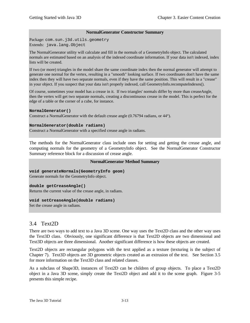## **NormalGenerator Constructor Summary**

Package: com.sun.j3d.utils.geometry Extends: java.lang.Object

The NormalGenerator utility will calculate and fill in the normals of a GeometryInfo object. The calculated normals are estimated based on an analysis of the indexed coordinate information. If your data isn't indexed, index lists will be created.

If two (or more) triangles in the model share the same coordinate index then the normal generator will attempt to generate one normal for the vertex, resulting in a "smooth" looking surface. If two coordinates don't have the same index then they will have two separate normals, even if they have the same position. This will result in a "crease" in your object. If you suspect that your data isn't properly indexed, call GeometryInfo.recomputeIndexes().

Of course, sometimes your model has a crease in it. If two triangles' normals differ by more than creaseAngle, then the vertex will get two separate normals, creating a discontinuous crease in the model. This is perfect for the edge of a table or the corner of a cube, for instance.

#### **NormalGenerator()**

Construct a NormalGenerator with the default crease angle (0.76794 radians, or 44°).

#### **NormalGenerator(double radians)**

Construct a NormalGenerator with a specified crease angle in radians.

The methods for the NormalGenerator class include ones for setting and getting the crease angle, and computing normals for the geometry of a GeometryInfo object. See the NormalGenerator Constructor Summary reference block for a discussion of crease angle.

## **NormalGenerator Method Summary**

**void generateNormals(GeometryInfo geom)**

Generate normals for the GeometryInfo object.

## **double getCreaseAngle()**

Returns the current value of the crease angle, in radians.

## **void setCreaseAngle(double radians)**

Set the crease angle in radians.

## 3.4 Text2D

There are two ways to add text to a Java 3D scene. One way uses the Text2D class and the other way uses the Text3D class. Obviously, one significant difference is that Text2D objects are two dimensional and Text3D objects are three dimensional. Another significant difference is how these objects are created.

Text2D objects are rectangular polygons with the text applied as a texture (texturing is the subject of Chapter 7). Text3D objects are 3D geometric objects created as an extrusion of the text. See Section 3.5 for more information on the Text3D class and related classes.

As a subclass of Shape3D, instances of Text2D can be children of group objects. To place a Text2D object in a Java 3D scene, simply create the Text2D object and add it to the scene graph. Figure 3-5 presents this simple recipe.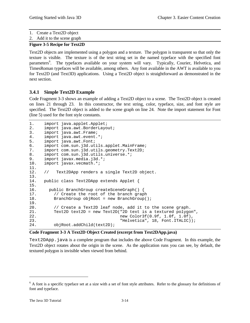1. Create a Text2D object

2. Add it to the scene graph

## **Figure 3-5 Recipe for Text2D**

Text2D objects are implemented using a polygon and a texture. The polygon is transparent so that only the texture is visible. The texture is of the text string set in the named typeface with the specified font parameters<sup>6</sup>. The typefaces available on your system will vary. Typically, Courier, Helvetica, and TimesRoman typefaces will be available, among others. Any font available in the AWT is available to you for Text2D (and Text3D) applications. Using a Text2D object is straightforward as demonstrated in the next section.

## **3.4.1 Simple Text2D Example**

Code Fragment 3-3 shows an example of adding a Text2D object to a scene. The Text2D object is created on lines 21 through 23. In this constructor, the text string, color, typeface, size, and font style are specified. The Text2D object is added to the scene graph on line 24. Note the import statement for Font (line 5) used for the font style constants.

```
1. import java.applet.Applet;
2. import java.awt.BorderLayout;
3. import java.awt.Frame;
4. import java.awt.event.*;<br>5. import java.awt.Font;
      import java.awt.Font;
6. import com.sun.j3d.utils.applet.MainFrame;
7. import com.sun.j3d.utils.geometry.Text2D;<br>8. import com.sun.j3d.utils.universe.*;
      import com.sun.j3d.utils.universe.*;
9. import javax.media.j3d.*;<br>10. import javax.vecmath.*;
      import javax.vecmath.*;
11.
12. // Text2DApp renders a single Text2D object.
13.
14. public class Text2DApp extends Applet {
15.<br>16.
       16. public BranchGroup createSceneGraph() {
17. // Create the root of the branch graph
18. BranchGroup objRoot = new BranchGroup();
19.
20. // Create a Text2D leaf node, add it to the scene graph.
21. Text2D text2D = new Text2D("2D text is a textured polygon",
22. new Color3f(0.9f, 1.0f, 1.0f),
23. "Helvetica", 18, Font.ITALIC));
24. objRoot.addChild(text2D);
```
## **Code Fragment 3-3 A Text2D Object Created (excerpt from Text2DApp.java)**

Text 2DApp. java is a complete program that includes the above Code Fragment. In this example, the Text2D object rotates about the origin in the scene. As the application runs you can see, by default, the textured polygon is invisible when viewed from behind.

 $\overline{a}$ 

 $6$  A font is a specific typeface set at a size with a set of font style attributes. Refer to the glossary for definitions of font and typeface.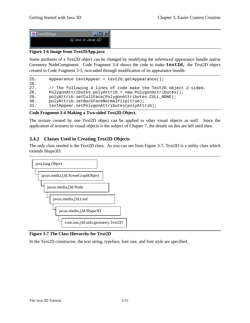| Text2DApp | 11 V F<br>- 12     |
|-----------|--------------------|
|           | 2D text in Java 3D |

## **Figure 3-6 Image from Text2DApp.java**

Some attributes of a Text2D object can be changed by modifying the referenced appearance bundle and/or Geometry NodeComponent. Code Fragment 3-4 shows the code to make **text2d,** the Text2D object created in Code Fragment 3-3, two-sided through modification of its appearance bundle.

```
25. Appearance textAppear = text2d.getAppearance();
\frac{26}{27}.
27. // The following 4 lines of code make the Text2D object 2-sided.<br>28. PolygonAttributes polyAttrib = new PolygonAttributes();
          PolygonAttributes polyAttrib = new PolygonAttributes();
29. polyAttrib.setCullFace(PolygonAttributes.CULL_NONE);
30. polyAttrib.setBackFaceNormalFlip(true);<br>31. textAppear.setPolygonAttributes(polyAtt
          textAppear.setPolygonAttributes(polyAttrib);
```
## **Code Fragment 3-4 Making a Two-sided Text2D Object.**

The texture created by one Text2D object can be applied to other visual objects as well. Since the application of textures to visual objects is the subject of Chapter 7, the details on this are left until then.

## **3.4.2 Classes Used in Creating Text2D Objects**

The only class needed is the Text2D class. As you can see from Figure 3-7, Text2D is a utility class which extends Shape3D.



**Figure 3-7 The Class Hierarchy for Text2D**

In the Text2D constructor, the text string, typeface, font size, and font style are specified.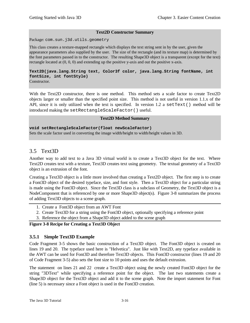## **Text2D Constructor Summary**

Package: com.sun.j3d.utils.geometry

This class creates a texture-mapped rectangle which displays the text string sent in by the user, given the appearance parameters also supplied by the user. The size of the rectangle (and its texture map) is determined by the font parameters passed in to the constructor. The resulting Shape3D object is a transparent (except for the text) rectangle located at (0, 0, 0) and extending up the positive y-axis and out the positive x-axis.

## **Text2D(java.lang.String text, Color3f color, java.lang.String fontName, int fontSize, int fontStyle)**

Constructor.

With the Text2D constructor, there is one method. This method sets a scale factor to create Text2D objects larger or smaller than the specified point size. This method is not useful in version 1.1.x of the API, since it is only utilized when the text is specified. In version 1.2 a setText() method will be introduced making the setRectangleScaleFactor() useful.

## **Text2D Method Summary**

**void setRectangleScaleFactor(float newScaleFactor)** Sets the scale factor used in converting the image width/height to width/height values in 3D.

## 3.5 Text3D

Another way to add text to a Java 3D virtual world is to create a Text3D object for the text. Where Text2D creates text with a texture, Text3D creates text using geometry. The textual geometry of a Text3D object is an extrusion of the font.

Creating a Text3D object is a little more involved than creating a Text2D object. The first step is to create a Font3D object of the desired typeface, size, and font style. Then a Text3D object for a particular string is made using the Font3D object. Since the Text3D class is a subclass of Geometry, the Text3D object is a NodeComponent that is referenced by one or more Shape3D object(s). Figure 3-8 summarizes the process of adding Text3D objects to a scene graph.

- 1. Create a Font3D object from an AWT Font
- 2. Create Text3D for a string using the Font3D object, optionally specifying a reference point
- 3. Reference the object from a Shape3D object added to the scene graph

## **Figure 3-8 Recipe for Creating a Text3D Object**

## **3.5.1 Simple Text3D Example**

Code Fragment 3-5 shows the basic construction of a Text3D object. The Font3D object is created on lines 19 and 20. The typeface used here is "Helvetica". Just like with Text2D, any typeface available in the AWT can be used for Font3D and therefore Text3D objects. This Font3D constructor (lines 19 and 20 of Code Fragment 3-5) also sets the font size to 10 points and uses the default extrusion.

The statement on lines 21 and 22 create a Text3D object using the newly created Font3D object for the string "3DText" while specifying a reference point for the object. The last two statements create a Shape3D object for the Text3D object and add it to the scene graph. Note the import statement for Font (line 5) is necessary since a Font object is used in the Font3D creation.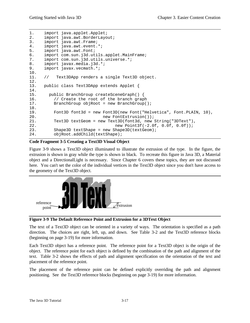```
1. import java.applet.Applet;
2. import java.awt.BorderLayout;
3. import java.awt.Frame;
4. import java.awt.event.*;
5. import java.awt.Font;
6. import com.sun.j3d.utils.applet.MainFrame;
7. import com.sun.j3d.utils.universe.*;
8. import javax.media.j3d.*;
9. import javax.vecmath.*;
10.
11. // Text3DApp renders a single Text3D object.
12.
13. public class Text3DApp extends Applet {
14.
15. public BranchGroup createSceneGraph() {
16. // Create the root of the branch graph
17. BranchGroup objRoot = new BranchGroup();
18.
19. Font3D font3d = new Font3D(new Font("Helvetica", Font.PLAIN, 10),
20. hew FontExtrusion());
21. Text3D textGeom = new Text3D(font3d, new String("3DText"),
22. new Point3f(-2.0f, 0.0f, 0.0f));
23. Shape3D textShape = new Shape3D(textGeom);
24. objRoot.addChild(textShape);
```
## **Code Fragment 3-5 Creating a Text3D Visual Object**

Figure 3-9 shows a Text3D object illuminated to illustrate the extrusion of the type. In the figure, the extrusion is shown in gray while the type is shown in black. To recreate this figure in Java 3D, a Material object and a DirectionalLight is necessary. Since Chapter 6 covers these topics, they are not discussed here. You can't set the color of the individual vertices in the Text3D object since you don't have access to the geometry of the Text3D object.



**Figure 3-9 The Default Reference Point and Extrusion for a 3DText Object**

The text of a Text3D object can be oriented in a variety of ways. The orientation is specified as a path direction. The choices are right, left, up, and down. See Table 3-2 and the Text3D reference blocks (beginning on page 3-19) for more information.

Each Text3D object has a reference point. The reference point for a Text3D object is the origin of the object. The reference point for each object is defined by the combination of the path and alignment of the text. Table 3-2 shows the effects of path and alignment specification on the orientation of the text and placement of the reference point.

The placement of the reference point can be defined explicitly overriding the path and alignment positioning. See the Text3D reference blocks (beginning on page 3-19) for more information.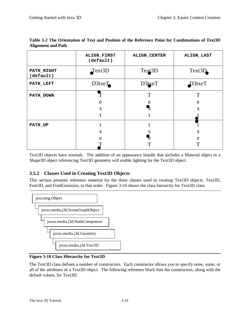|                         | ALIGN_FIRST<br>(default) | <b>ALIGN_CENTER</b> | <b>ALIGN_LAST</b> |
|-------------------------|--------------------------|---------------------|-------------------|
| PATH_RIGHT<br>(default) | Text3D                   | Text <sub>3</sub> D | Text3D            |
| PATH_LEFT               | $D3$ txe $T$             | D3txeT              | $D3$ txeT         |
| PATH_DOWN               |                          | T                   | T                 |
|                         | e                        |                     | e                 |
|                         | $\mathbf{X}$             |                     | $\mathbf{X}$      |
|                         |                          |                     |                   |
| PATH_UP                 |                          |                     |                   |
|                         | X                        | Х                   | X                 |
|                         | e                        |                     | e                 |
|                         |                          |                     | ௱                 |

**Table 3-2 The Orientation of Text and Position of the Reference Point for Combinations of Text3D Alignment and Path**

Text3D objects have normals. The addition of an appearance bundle that includes a Material object to a Shape3D object referencing Text3D geometry will enable lighting for the Text3D object.

## **3.5.2 Classes Used in Creating Text3D Objects**

This section presents reference material for the three classes used in creating Text3D objects: Text3D, Font3D, and FontExtrusion, in that order. Figure 3-10 shows the class hierarchy for Text3D class.



## **Figure 3-10 Class Hierarchy for Text3D**

The Text3D class defines a number of constructors. Each constructor allows you to specify none, some, or all of the attributes of a Text3D object. The following reference block lists the constructors, along with the default values, for Text3D.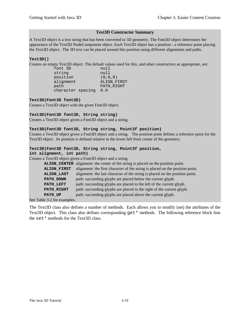#### **Text3D Constructor Summary**

A Text3D object is a text string that has been converted to 3D geometry. The Font3D object determines the appearance of the Text3D NodeComponent object. Each Text3D object has a position - a reference point placing the Text3D object. The 3D text can be placed around this position using different alignments and paths.

## **Text3D()**

Creates an empty Text3D object. The default values used for this, and other constructors as appropriate, are:

|                   | null        |
|-------------------|-------------|
|                   | null        |
|                   | (0, 0, 0)   |
|                   | ALIGN FIRST |
|                   | PATH RIGHT  |
| character spacing | 0.0         |
|                   |             |

#### **Text3D(Font3D font3D)**

Creates a Text3D object with the given Font3D object.

#### **Text3D(Font3D font3D, String string)**

Creates a Text3D object given a Font3D object and a string.

#### **Text3D(Font3D font3D, String string, Point3f position)**

Creates a Text3D object given a Font3D object and a string. The position point defines a reference point for the Text3D object. Its position is defined relative to the lower left front corner of the geometry.

## **Text3D(Font3D font3D, String string, Point3f position,**

**int alignment, int path)**

Creates a Text3D object given a Font3D object and a string.

|             | ALIGN_CENTER alignment: the center of the string is placed on the position point. |
|-------------|-----------------------------------------------------------------------------------|
| ALIGN_FIRST | alignment: the first character of the string is placed on the position point.     |
| ALIGN_LAST  | alignment: the last character of the string is placed on the position point.      |
| PATH DOWN   | path: succeeding glyphs are placed below the current glyph.                       |
| PATH LEFT   | path: succeeding glyphs are placed to the left of the current glyph.              |
| PATH_RIGHT  | path: succeeding glyphs are placed to the right of the current glyph.             |
| PATH_UP     | path: succeeding glyphs are placed above the current glyph.                       |

See Table 3-2 for examples.

The Text3D class also defines a number of methods. Each allows you to modify (set) the attributes of the Text3D object. This class also defines corresponding get \* methods. The following reference block lists the set\* methods for the Text3D class.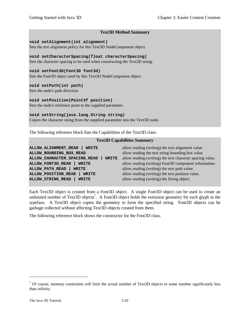## **Text3D Method Summary**

#### **void setAlignment(int alignment)**

Sets the text alignment policy for this Text3D NodeComponent object.

## **void setCharacterSpacing(float characterSpacing)**

Sets the character spacing to be used when constructing the Text3D string.

## **void setFont3D(Font3D font3d)**

Sets the Font3D object used by this Text3D NodeComponent object.

## **void setPath(int path)**

Sets the node's path direction.

## **void setPosition(Point3f position)**

Sets the node's reference point to the supplied parameter.

## **void setString(java.lang.String string)**

Copies the character string from the supplied parameter into the Text3D node.

The following reference block lists the Capabilities of the Text3D class.

## **Text3D Capabilities Summary**

| ALLOW_ALIGNMENT_READ<br><b>WRITE</b>         | allow reading (writing) the text alignment value.         |
|----------------------------------------------|-----------------------------------------------------------|
| ALLOW_BOUNDING_BOX_READ                      | allow reading the text string bounding box value          |
| ALLOW_CHARACTER_SPACING_READ<br><b>WRITE</b> | allow reading (writing) the text character spacing value. |
| ALLOW FONT3D READ<br><b>WRITE</b>            | allow reading (writing) Font3D component information.     |
| <b>ALLOW_PATH_READ</b><br><b>WRITE</b>       | allow reading (writing) the text path value.              |
| ALLOW_POSITION_READ<br><b>WRITE</b>          | allow reading (writing) the text position value.          |
| <b>ALLOW STRING READ</b><br><b>WRITE</b>     | allow reading (writing) the String object.                |

Each Text3D object is created from a Font3D object. A single Font3D object can be used to create an unlimited number of Text3D objects<sup>7</sup>. A Font3D object holds the extrusion geometry for each glyph in the typeface. A Text3D object copies the geometry to form the specified string. Font3D objects can be garbage collected without affecting Text3D objects created from them.

The following reference block shows the constructor for the Font3D class.

 $\overline{a}$ 

 $<sup>7</sup>$  Of course, memory constraints will limit the actual number of Text3D objects to some number significantly less</sup> than infinity.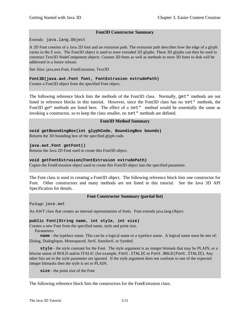## **Font3D Constructor Summary**

Extends: java.lang.Object

A 3D Font consists of a Java 2D font and an extrusion path. The extrusion path describes how the edge of a glyph varies in the Z axis. The Font3D object is used to store extruded 2D glyphs. These 3D glyphs can then be used to construct Text3D NodeComponent objects. Custom 3D fonts as well as methods to store 3D fonts to disk will be addressed in a future release.

See Also: java.awt.Font, FontExtrusion, Text3D

## **Font3D(java.awt.Font font, FontExtrusion extrudePath)**

Creates a Font3D object from the specified Font object.

The following reference block lists the methods of the Font3D class. Normally,  $get*$  methods are not listed in reference blocks in this tutorial. However, since the Font3D class has no set\* methods, the Font3D get\* methods are listed here. The effect of a  $set*$  method would be essentially the same as invoking a constructor, so to keep the class smaller, no  $set*$  methods are defined.

## **Font3D Method Summary**

**void getBoundingBox(int glyphCode, BoundingBox bounds)** Returns the 3D bounding box of the specified glyph code.

**java.awt.Font getFont()**

Returns the Java 2D Font used to create this Font3D object.

## **void getFontExtrusion(FontExtrusion extrudePath)**

Copies the FontExtrusion object used to create this Font3D object into the specified parameter.

The Font class is used in creating a Font3D object. The following reference block lists one constructor for Font. Other constructors and many methods are not listed in this tutorial. See the Java 3D API Specification for details.

## **Font Constructor Summary (partial list)**

Package: java.awt

An AWT class that creates an internal representation of fonts. Font extends java.lang.Object.

## **public Font(String name, int style, int size)**

Creates a new Font from the specified name, style and point size.

Parameters:

 **name** - the typeface name. This can be a logical name or a typeface name. A logical name must be one of: Dialog, DialogInput, Monospaced, Serif, SansSerif, or Symbol.

 **style** - the style constant for the Font. The style argument is an integer bitmask that may be PLAIN, or a bitwise union of BOLD and/or ITALIC (for example, Font.ITALIC or Font.BOLD | Font.ITALIC). Any other bits set in the style parameter are ignored. If the style argument does not conform to one of the expected integer bitmasks then the style is set to PLAIN.

**size** - the point size of the Font

The following reference block lists the constructors for the FontExtrusion class.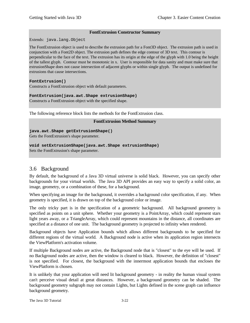## **FontExtrusion Constructor Summary**

Extends: java.lang.Object

The FontExtrusion object is used to describe the extrusion path for a Font3D object. The extrusion path is used in conjunction with a Font2D object. The extrusion path defines the edge contour of 3D text. This contour is perpendicular to the face of the text. The extrusion has its origin at the edge of the glyph with 1.0 being the height of the tallest glyph. Contour must be monotonic in x. User is responsible for data sanity and must make sure that extrusionShape does not cause intersection of adjacent glyphs or within single glyph. The output is undefined for extrusions that cause intersections.

#### **FontExtrusion()**

Constructs a FontExtrusion object with default parameters.

#### **FontExtrusion(java.awt.Shape extrusionShape)**

Constructs a FontExtrusion object with the specified shape.

The following reference block lists the methods for the FontExtrusion class.

#### **FontExtrusion Method Summary**

**java.awt.Shape getExtrusionShape()**

Gets the FontExtrusion's shape parameter.

## **void setExtrusionShape(java.awt.Shape extrusionShape)**

Sets the FontExtrusion's shape parameter.

## 3.6 Background

By default, the background of a Java 3D virtual universe is solid black. However, you can specify other backgrounds for your virtual worlds. The Java 3D API provides an easy way to specify a solid color, an image, geometry, or a combination of these, for a background.

When specifying an image for the background, it overrides a background color specification, if any. When geometry is specified, it is drawn on top of the background color or image.

The only tricky part is in the specification of a geometric background. All background geometry is specified as points on a unit sphere. Whether your geometry is a PointArray, which could represent stars light years away, or a TriangleArray, which could represent mountains in the distance, all coordinates are specified at a distance of one unit. The background geometry is projected to infinity when rendered.

Background objects have Application bounds which allows different backgrounds to be specified for different regions of the virtual world. A Background node is active when its application region intersects the ViewPlatform's activation volume.

If multiple Background nodes are active, the Background node that is "closest" to the eye will be used. If no Background nodes are active, then the window is cleared to black. However, the definition of "closest" is not specified. For closest, the background with the innermost application bounds that encloses the ViewPlatform is chosen.

It is unlikely that your application will need lit background geometry - in reality the human visual system can't perceive visual detail at great distances. However, a background geometry can be shaded. The background geometry subgraph may not contain Lights, but Lights defined in the scene graph can influence background geometry.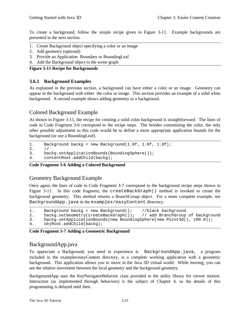To create a background, follow the simple recipe given in Figure 3-11. Example backgrounds are presented in the next section.

- 1. Create Background object specifying a color or an image
- 2. Add geometry (optional)
- 3. Provide an Application Boundary or BoundingLeaf
- 4. Add the Background object to the scene graph

**Figure 3-11 Recipe for Backgrounds**

## **3.6.1 Background Examples**

As explained in the previous section, a background can have either a color or an image. Geometry can appear in the background with either the color or image. This section provides an example of a solid white background. A second example shows adding geometry to a background.

## Colored Background Example

As shown in Figure 3-11, the recipe for creating a solid color background is straightforward. The lines of code in Code Fragment 3-6 correspond to the recipe steps. The besides customizing the color, the only other possible adjustment to this code would be to define a more appropriate application bounds for the background (or use a BoundingLeaf).

```
1. Background backg = new Background(1.0f, 1.0f, 1.0f);
```

```
2. 1/2<br>3. ba
      backg.setApplicationBounds(BoundingSphere());
```

```
4. contentRoot.addChild(backg);
```
## **Code Fragment 3-6 Adding a Colored Background**

## Geometry Background Example

Once again, the lines of code in Code Fragment 3-7 correspond to the background recipe steps shown in Figure 3-11. In this code fragment, the createBackGraph() method is invoked to create the background geometry. This method returns a BranchGroup object. For a more complete example, see BackgroundApp.java in the examples/easyContent directory.

```
1. Background backg = new Background(); //black background<br>2. backg.setGeometry(createBackGraph()); // add BranchGroup of background
2. backg.setGeometry(createBackGraph());
```

```
3. backg.setApplicationBounds(new BoundingSphere(new Point3d(), 100.0));
```

```
4. objRoot.addChild(backg);
```
## **Code Fragment 3-7 Adding a Geometric Background**

## BackgroundApp.java

To appreciate a Background, you need to experience it. BackgroundApp.java, a program included in the examples/easyContent directory, is a complete working application with a geometric background. This application allows you to move in the Java 3D virtual world. While moving, you can see the relative movement between the local geometry and the background geometry.

BackgroundApp uses the KeyNavigatorBehavior class provided in the utility library for viewer motion. Interaction (as implemented through behaviors) is the subject of Chapter 4, so the details of this programming is delayed until then.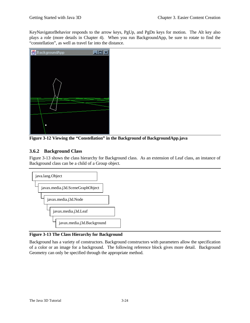KeyNavigatorBehavior responds to the arrow keys, PgUp, and PgDn keys for motion. The Alt key also plays a role (more details in Chapter 4). When you run BackgroundApp, be sure to rotate to find the "constellation", as well as travel far into the distance.



**Figure 3-12 Viewing the "Constellation" in the Background of BackgroundApp.java**

## **3.6.2 Background Class**

Figure 3-13 shows the class hierarchy for Background class. As an extension of Leaf class, an instance of Background class can be a child of a Group object.



## **Figure 3-13 The Class Hierarchy for Background**

Background has a variety of constructors. Background constructors with parameters allow the specification of a color or an image for a background. The following reference block gives more detail. Background Geometry can only be specified through the appropriate method.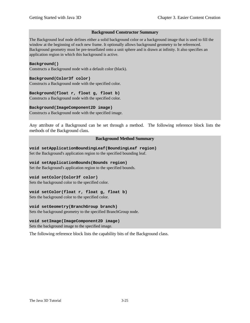## **Background Constructor Summary**

The Background leaf node defines either a solid background color or a background image that is used to fill the window at the beginning of each new frame. It optionally allows background geometry to be referenced. Background geometry must be pre-tessellated onto a unit sphere and is drawn at infinity. It also specifies an application region in which this background is active.

#### **Background()**

Constructs a Background node with a default color (black).

#### **Background(Color3f color)**

Constructs a Background node with the specified color.

## **Background(float r, float g, float b)**

Constructs a Background node with the specified color.

## **Background(ImageComponent2D image)**

Constructs a Background node with the specified image.

Any attribute of a Background can be set through a method. The following reference block lists the methods of the Background class.

## **Background Method Summary**

**void setApplicationBoundingLeaf(BoundingLeaf region)** Set the Background's application region to the specified bounding leaf.

## **void setApplicationBounds(Bounds region)**

Set the Background's application region to the specified bounds.

## **void setColor(Color3f color)**

Sets the background color to the specified color.

## **void setColor(float r, float g, float b)**

Sets the background color to the specified color.

## **void setGeometry(BranchGroup branch)**

Sets the background geometry to the specified BranchGroup node.

## **void setImage(ImageComponent2D image)**

Sets the background image to the specified image.

The following reference block lists the capability bits of the Background class.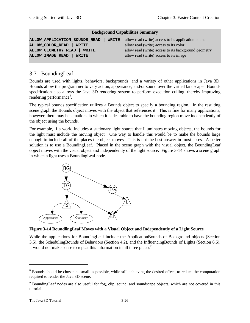| ALLOW_APPLICATION_BOUNDS_READ | <b>WRITE</b> allow read (write) access to its application bounds |
|-------------------------------|------------------------------------------------------------------|
| ALLOW_COLOR_READ   WRITE      | allow read (write) access to its color                           |
| ALLOW_GEOMETRY_READ   WRITE   | allow read (write) access to its background geometry             |
| ALLOW_IMAGE_READ<br>WRITE     | allow read (write) access to its image                           |
|                               |                                                                  |

## 3.7 BoundingLeaf

Bounds are used with lights, behaviors, backgrounds, and a variety of other applications in Java 3D. Bounds allow the programmer to vary action, appearance, and/or sound over the virtual landscape. Bounds specification also allows the Java 3D rendering system to perform execution culling, thereby improving rendering performance<sup>8</sup>.

The typical bounds specification utilizes a Bounds object to specify a bounding region. In the resulting scene graph the Bounds object moves with the object that references it. This is fine for many applications; however, there may be situations in which it is desirable to have the bounding region move independently of the object using the bounds.

For example, if a world includes a stationary light source that illuminates moving objects, the bounds for the light must include the moving object. One way to handle this would be to make the bounds large enough to include all of the places the object moves. This is not the best answer in most cases. A better solution is to use a BoundingLeaf. Placed in the scene graph with the visual object, the BoundingLeaf object moves with the visual object and independently of the light source. Figure 3-14 shows a scene graph in which a light uses a BoundingLeaf node.



**Figure 3-14 BoundlingLeaf Moves with a Visual Object and Independently of a Light Source**

While the applications for BoundingLeaf include the ApplicationBounds of Background objects (Section 3.5), the SchedulingBounds of Behaviors (Section 4.2), and the InfluencingBounds of Lights (Section 6.6), it would not make sense to repeat this information in all three places<sup>9</sup>.

<u>.</u>

<sup>&</sup>lt;sup>8</sup> Bounds should be chosen as small as possible, while still achieving the desired effect, to reduce the computation required to render the Java 3D scene.

<sup>&</sup>lt;sup>9</sup> BoundingLeaf nodes are also useful for fog, clip, sound, and soundscape objects, which are not covered in this tutorial.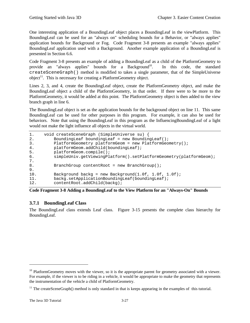One interesting application of a BoundingLeaf object places a BoundingLeaf in the viewPlatform. This BoundingLeaf can be used for an "always on" scheduling bounds for a Behavior, or "always applies" application bounds for Background or Fog. Code Fragment 3-8 presents an example "always applies" BoundingLeaf application used with a Background. Another example application of a BoundingLeaf is presented in Section 6.6.

Code Fragment 3-8 presents an example of adding a BoundingLeaf as a child of the PlatformGeometry to provide an "always applies" bounds for a Background<sup>10</sup>. In this code, the standard createSceneGraph() method is modified to takes a single parameter, that of the SimpleUniverse  $object<sup>11</sup>$ . This is necessary for creating a PlatformGeometry object.

Lines 2, 3, and 4, create the BoundingLeaf object, create the PlatformGeometry object, and make the BoundingLeaf object a child of the PlatformGeometry, in that order. If there were to be more to the PlatformGeometry, it would be added at this point. The PlatformGeometry object is then added to the view branch graph in line 6.

The BoundingLeaf object is set as the application bounds for the background object on line 11. This same BoundingLeaf can be used for other purposes in this program. For example, it can also be used for behaviors. Note that using the BoundingLeaf in this program as the InfluencingBoundingLeaf of a light would not make the light influence all objects in the virtual world.

| 1.<br>2. | void createSceneGraph (SimpleUniverse su) {<br>BoundingLeaf boundingLeaf = new BoundingLeaf(); |
|----------|------------------------------------------------------------------------------------------------|
| 3.       | PlatformGeometry platformGeom = new PlatformGeometry();                                        |
| 4.       | platformGeom.addChild(boundingLeaf);                                                           |
| 5.       | $platformGeom.com$ .compile();                                                                 |
| 6.       | simpleUniv.getViewingPlatform().setPlatformGeometry(platformGeom);                             |
| 7.       |                                                                                                |
| 8.       | BranchGroup contentRoot = new BranchGroup();                                                   |
| 9.       |                                                                                                |
| 10.      | Background backg = new Background( $1.0f$ , $1.0f$ , $1.0f$ );                                 |
| 11.      | backg.setApplicationBoundingLeaf(boundingLeaf);                                                |
| 12.      | contentRoot.addChild(backq);                                                                   |

**Code Fragment 3-8 Adding a BoundingLeaf to the View Platform for an "Always-On" Bounds**

## **3.7.1 BoundingLeaf Class**

The BoundingLeaf class extends Leaf class. Figure 3-15 presents the complete class hierarchy for BoundingLeaf.

 $\overline{a}$ 

 $10$  PlatformGeometry moves with the viewer, so it is the appropriate parent for geometry associated with a viewer. For example, if the viewer is to be riding in a vehicle, it would be appropriate to make the geometry that represents the instrumentation of the vehicle a child of PlatformGeometry.

<sup>&</sup>lt;sup>11</sup> The createSceneGraph() method is only standard in that is keeps appearing in the examples of this tutorial.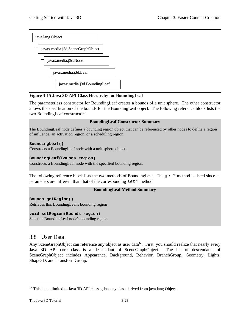

## **Figure 3-15 Java 3D API Class Hierarchy for BoundingLeaf**

The parameterless constructor for BoundingLeaf creates a bounds of a unit sphere. The other constructor allows the specification of the bounds for the BoundingLeaf object. The following reference block lists the two BoundingLeaf constructors.

## **BoundingLeaf Constructor Summary**

The BoundingLeaf node defines a bounding region object that can be referenced by other nodes to define a region of influence, an activation region, or a scheduling region.

## **BoundingLeaf()**

Constructs a BoundingLeaf node with a unit sphere object.

## **BoundingLeaf(Bounds region)**

Constructs a BoundingLeaf node with the specified bounding region.

The following reference block lists the two methods of BoundingLeaf. The  $get*$  method is listed since its parameters are different than that of the corresponding set\* method.

## **BoundingLeaf Method Summary**

**Bounds getRegion()** Retrieves this BoundingLeaf's bounding region

## **void setRegion(Bounds region)**

Sets this BoundingLeaf node's bounding region.

## 3.8 User Data

Any SceneGraphObject can reference any object as user data<sup>12</sup>. First, you should realize that nearly every Java 3D API core class is a descendant of SceneGraphObject. The list of descendants of SceneGraphObject includes Appearance, Background, Behavior, BranchGroup, Geometry, Lights, Shape3D, and TransformGroup.

 $\overline{a}$ 

 $12$  This is not limited to Java 3D API classes, but any class derived from java.lang. Object.